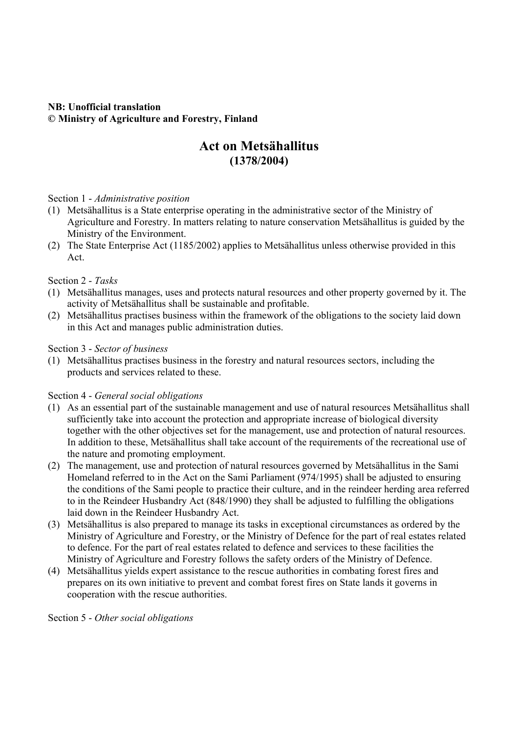# **NB: Unofficial translation © Ministry of Agriculture and Forestry, Finland**

# **Act on Metsähallitus (1378/2004)**

## Section 1 - *Administrative position*

- (1) Metsähallitus is a State enterprise operating in the administrative sector of the Ministry of Agriculture and Forestry. In matters relating to nature conservation Metsähallitus is guided by the Ministry of the Environment.
- (2) The State Enterprise Act (1185/2002) applies to Metsähallitus unless otherwise provided in this Act.

#### Section 2 - *Tasks*

- (1) Metsähallitus manages, uses and protects natural resources and other property governed by it. The activity of Metsähallitus shall be sustainable and profitable.
- (2) Metsähallitus practises business within the framework of the obligations to the society laid down in this Act and manages public administration duties.

#### Section 3 - *Sector of business*

(1) Metsähallitus practises business in the forestry and natural resources sectors, including the products and services related to these.

## Section 4 - *General social obligations*

- (1) As an essential part of the sustainable management and use of natural resources Metsähallitus shall sufficiently take into account the protection and appropriate increase of biological diversity together with the other objectives set for the management, use and protection of natural resources. In addition to these, Metsähallitus shall take account of the requirements of the recreational use of the nature and promoting employment.
- (2) The management, use and protection of natural resources governed by Metsähallitus in the Sami Homeland referred to in the Act on the Sami Parliament (974/1995) shall be adjusted to ensuring the conditions of the Sami people to practice their culture, and in the reindeer herding area referred to in the Reindeer Husbandry Act (848/1990) they shall be adjusted to fulfilling the obligations laid down in the Reindeer Husbandry Act.
- (3) Metsähallitus is also prepared to manage its tasks in exceptional circumstances as ordered by the Ministry of Agriculture and Forestry, or the Ministry of Defence for the part of real estates related to defence. For the part of real estates related to defence and services to these facilities the Ministry of Agriculture and Forestry follows the safety orders of the Ministry of Defence.
- (4) Metsähallitus yields expert assistance to the rescue authorities in combating forest fires and prepares on its own initiative to prevent and combat forest fires on State lands it governs in cooperation with the rescue authorities.

Section 5 - *Other social obligations*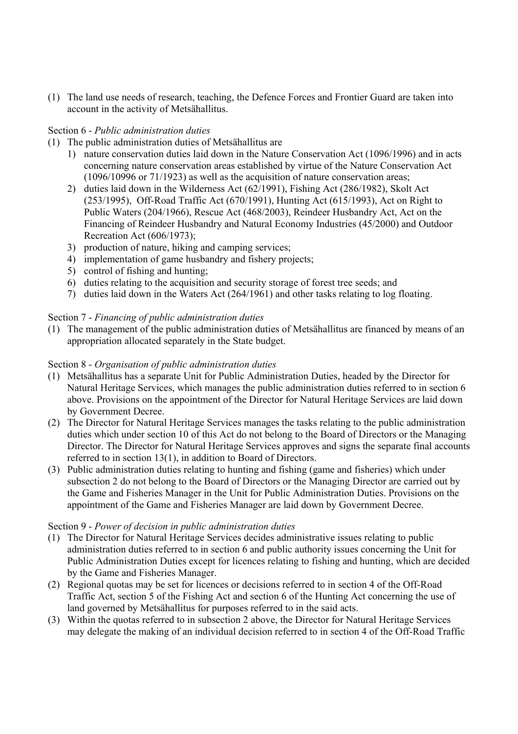(1) The land use needs of research, teaching, the Defence Forces and Frontier Guard are taken into account in the activity of Metsähallitus.

## Section 6 - *Public administration duties*

- (1) The public administration duties of Metsähallitus are
	- 1) nature conservation duties laid down in the Nature Conservation Act (1096/1996) and in acts concerning nature conservation areas established by virtue of the Nature Conservation Act (1096/10996 or 71/1923) as well as the acquisition of nature conservation areas;
	- 2) duties laid down in the Wilderness Act (62/1991), Fishing Act (286/1982), Skolt Act (253/1995), Off-Road Traffic Act (670/1991), Hunting Act (615/1993), Act on Right to Public Waters (204/1966), Rescue Act (468/2003), Reindeer Husbandry Act, Act on the Financing of Reindeer Husbandry and Natural Economy Industries (45/2000) and Outdoor Recreation Act (606/1973);
	- 3) production of nature, hiking and camping services;
	- 4) implementation of game husbandry and fishery projects;
	- 5) control of fishing and hunting;
	- 6) duties relating to the acquisition and security storage of forest tree seeds; and
	- 7) duties laid down in the Waters Act (264/1961) and other tasks relating to log floating.

# Section 7 - *Financing of public administration duties*

(1) The management of the public administration duties of Metsähallitus are financed by means of an appropriation allocated separately in the State budget.

## Section 8 - *Organisation of public administration duties*

- (1) Metsähallitus has a separate Unit for Public Administration Duties, headed by the Director for Natural Heritage Services, which manages the public administration duties referred to in section 6 above. Provisions on the appointment of the Director for Natural Heritage Services are laid down by Government Decree.
- (2) The Director for Natural Heritage Services manages the tasks relating to the public administration duties which under section 10 of this Act do not belong to the Board of Directors or the Managing Director. The Director for Natural Heritage Services approves and signs the separate final accounts referred to in section 13(1), in addition to Board of Directors.
- (3) Public administration duties relating to hunting and fishing (game and fisheries) which under subsection 2 do not belong to the Board of Directors or the Managing Director are carried out by the Game and Fisheries Manager in the Unit for Public Administration Duties. Provisions on the appointment of the Game and Fisheries Manager are laid down by Government Decree.

## Section 9 - *Power of decision in public administration duties*

- (1) The Director for Natural Heritage Services decides administrative issues relating to public administration duties referred to in section 6 and public authority issues concerning the Unit for Public Administration Duties except for licences relating to fishing and hunting, which are decided by the Game and Fisheries Manager.
- (2) Regional quotas may be set for licences or decisions referred to in section 4 of the Off-Road Traffic Act, section 5 of the Fishing Act and section 6 of the Hunting Act concerning the use of land governed by Metsähallitus for purposes referred to in the said acts.
- (3) Within the quotas referred to in subsection 2 above, the Director for Natural Heritage Services may delegate the making of an individual decision referred to in section 4 of the Off-Road Traffic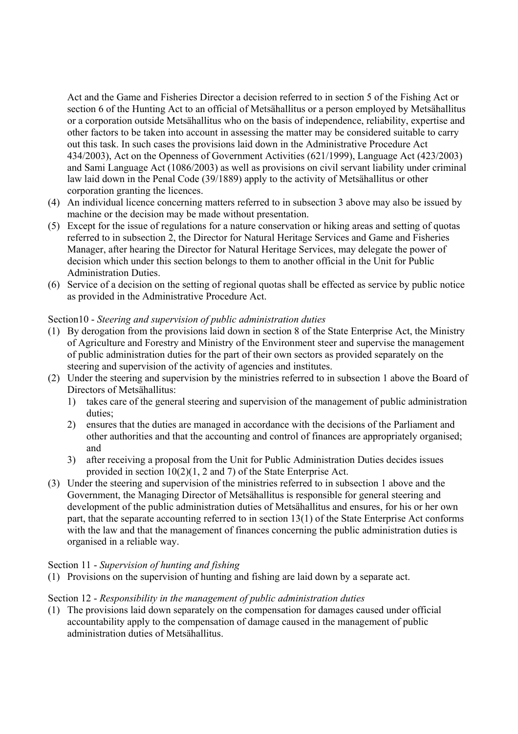Act and the Game and Fisheries Director a decision referred to in section 5 of the Fishing Act or section 6 of the Hunting Act to an official of Metsähallitus or a person employed by Metsähallitus or a corporation outside Metsähallitus who on the basis of independence, reliability, expertise and other factors to be taken into account in assessing the matter may be considered suitable to carry out this task. In such cases the provisions laid down in the Administrative Procedure Act 434/2003), Act on the Openness of Government Activities (621/1999), Language Act (423/2003) and Sami Language Act (1086/2003) as well as provisions on civil servant liability under criminal law laid down in the Penal Code (39/1889) apply to the activity of Metsähallitus or other corporation granting the licences.

- (4) An individual licence concerning matters referred to in subsection 3 above may also be issued by machine or the decision may be made without presentation.
- (5) Except for the issue of regulations for a nature conservation or hiking areas and setting of quotas referred to in subsection 2, the Director for Natural Heritage Services and Game and Fisheries Manager, after hearing the Director for Natural Heritage Services, may delegate the power of decision which under this section belongs to them to another official in the Unit for Public Administration Duties.
- (6) Service of a decision on the setting of regional quotas shall be effected as service by public notice as provided in the Administrative Procedure Act.

## Section10 - *Steering and supervision of public administration duties*

- (1) By derogation from the provisions laid down in section 8 of the State Enterprise Act, the Ministry of Agriculture and Forestry and Ministry of the Environment steer and supervise the management of public administration duties for the part of their own sectors as provided separately on the steering and supervision of the activity of agencies and institutes.
- (2) Under the steering and supervision by the ministries referred to in subsection 1 above the Board of Directors of Metsähallitus:
	- 1) takes care of the general steering and supervision of the management of public administration duties;
	- 2) ensures that the duties are managed in accordance with the decisions of the Parliament and other authorities and that the accounting and control of finances are appropriately organised; and
	- 3) after receiving a proposal from the Unit for Public Administration Duties decides issues provided in section 10(2)(1, 2 and 7) of the State Enterprise Act.
- (3) Under the steering and supervision of the ministries referred to in subsection 1 above and the Government, the Managing Director of Metsähallitus is responsible for general steering and development of the public administration duties of Metsähallitus and ensures, for his or her own part, that the separate accounting referred to in section 13(1) of the State Enterprise Act conforms with the law and that the management of finances concerning the public administration duties is organised in a reliable way.

## Section 11 - *Supervision of hunting and fishing*

(1) Provisions on the supervision of hunting and fishing are laid down by a separate act.

## Section 12 - *Responsibility in the management of public administration duties*

(1) The provisions laid down separately on the compensation for damages caused under official accountability apply to the compensation of damage caused in the management of public administration duties of Metsähallitus.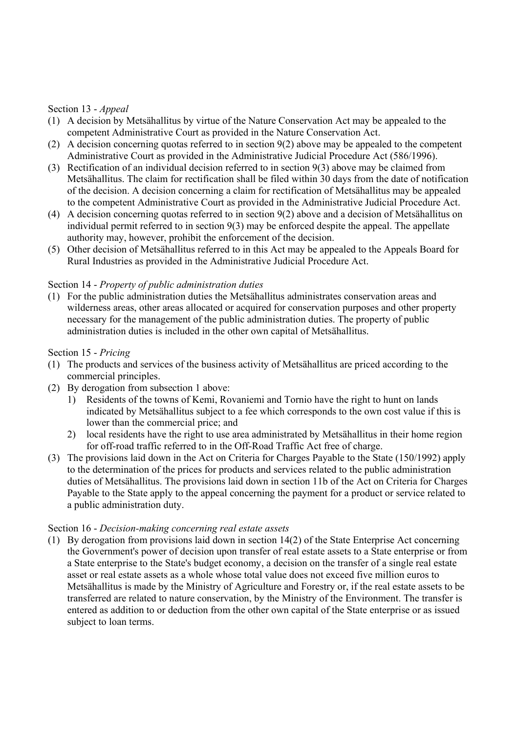# Section 13 - *Appeal*

- (1) A decision by Metsähallitus by virtue of the Nature Conservation Act may be appealed to the competent Administrative Court as provided in the Nature Conservation Act.
- (2) A decision concerning quotas referred to in section 9(2) above may be appealed to the competent Administrative Court as provided in the Administrative Judicial Procedure Act (586/1996).
- (3) Rectification of an individual decision referred to in section 9(3) above may be claimed from Metsähallitus. The claim for rectification shall be filed within 30 days from the date of notification of the decision. A decision concerning a claim for rectification of Metsähallitus may be appealed to the competent Administrative Court as provided in the Administrative Judicial Procedure Act.
- (4) A decision concerning quotas referred to in section 9(2) above and a decision of Metsähallitus on individual permit referred to in section 9(3) may be enforced despite the appeal. The appellate authority may, however, prohibit the enforcement of the decision.
- (5) Other decision of Metsähallitus referred to in this Act may be appealed to the Appeals Board for Rural Industries as provided in the Administrative Judicial Procedure Act.

# Section 14 - *Property of public administration duties*

(1) For the public administration duties the Metsähallitus administrates conservation areas and wilderness areas, other areas allocated or acquired for conservation purposes and other property necessary for the management of the public administration duties. The property of public administration duties is included in the other own capital of Metsähallitus.

## Section 15 - *Pricing*

- (1) The products and services of the business activity of Metsähallitus are priced according to the commercial principles.
- (2) By derogation from subsection 1 above:
	- 1) Residents of the towns of Kemi, Rovaniemi and Tornio have the right to hunt on lands indicated by Metsähallitus subject to a fee which corresponds to the own cost value if this is lower than the commercial price; and
	- 2) local residents have the right to use area administrated by Metsähallitus in their home region for off-road traffic referred to in the Off-Road Traffic Act free of charge.
- (3) The provisions laid down in the Act on Criteria for Charges Payable to the State (150/1992) apply to the determination of the prices for products and services related to the public administration duties of Metsähallitus. The provisions laid down in section 11b of the Act on Criteria for Charges Payable to the State apply to the appeal concerning the payment for a product or service related to a public administration duty.

## Section 16 - *Decision-making concerning real estate assets*

(1) By derogation from provisions laid down in section 14(2) of the State Enterprise Act concerning the Government's power of decision upon transfer of real estate assets to a State enterprise or from a State enterprise to the State's budget economy, a decision on the transfer of a single real estate asset or real estate assets as a whole whose total value does not exceed five million euros to Metsähallitus is made by the Ministry of Agriculture and Forestry or, if the real estate assets to be transferred are related to nature conservation, by the Ministry of the Environment. The transfer is entered as addition to or deduction from the other own capital of the State enterprise or as issued subject to loan terms.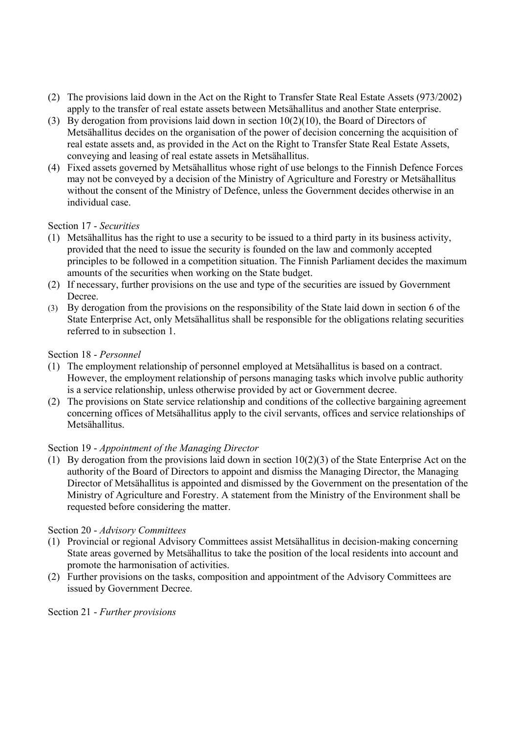- (2) The provisions laid down in the Act on the Right to Transfer State Real Estate Assets (973/2002) apply to the transfer of real estate assets between Metsähallitus and another State enterprise.
- (3) By derogation from provisions laid down in section 10(2)(10), the Board of Directors of Metsähallitus decides on the organisation of the power of decision concerning the acquisition of real estate assets and, as provided in the Act on the Right to Transfer State Real Estate Assets, conveying and leasing of real estate assets in Metsähallitus.
- (4) Fixed assets governed by Metsähallitus whose right of use belongs to the Finnish Defence Forces may not be conveyed by a decision of the Ministry of Agriculture and Forestry or Metsähallitus without the consent of the Ministry of Defence, unless the Government decides otherwise in an individual case.

## Section 17 - *Securities*

- (1) Metsähallitus has the right to use a security to be issued to a third party in its business activity, provided that the need to issue the security is founded on the law and commonly accepted principles to be followed in a competition situation. The Finnish Parliament decides the maximum amounts of the securities when working on the State budget.
- (2) If necessary, further provisions on the use and type of the securities are issued by Government Decree.
- (3) By derogation from the provisions on the responsibility of the State laid down in section 6 of the State Enterprise Act, only Metsähallitus shall be responsible for the obligations relating securities referred to in subsection 1.

## Section 18 - *Personnel*

- (1) The employment relationship of personnel employed at Metsähallitus is based on a contract. However, the employment relationship of persons managing tasks which involve public authority is a service relationship, unless otherwise provided by act or Government decree.
- (2) The provisions on State service relationship and conditions of the collective bargaining agreement concerning offices of Metsähallitus apply to the civil servants, offices and service relationships of Metsähallitus.

## Section 19 - *Appointment of the Managing Director*

(1) By derogation from the provisions laid down in section  $10(2)(3)$  of the State Enterprise Act on the authority of the Board of Directors to appoint and dismiss the Managing Director, the Managing Director of Metsähallitus is appointed and dismissed by the Government on the presentation of the Ministry of Agriculture and Forestry. A statement from the Ministry of the Environment shall be requested before considering the matter.

## Section 20 - *Advisory Committees*

- (1) Provincial or regional Advisory Committees assist Metsähallitus in decision-making concerning State areas governed by Metsähallitus to take the position of the local residents into account and promote the harmonisation of activities.
- (2) Further provisions on the tasks, composition and appointment of the Advisory Committees are issued by Government Decree.

Section 21 - *Further provisions*